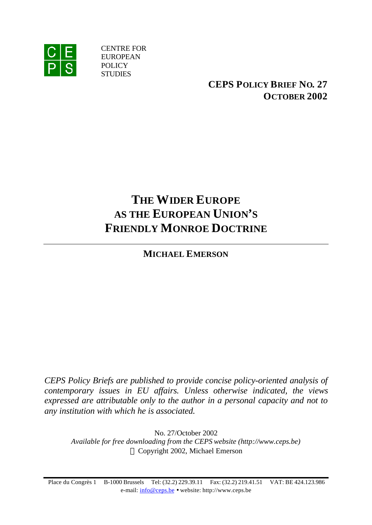

CENTRE FOR EUROPEAN POLICY **STUDIES** 

> **CEPS POLICY BRIEF NO. 27 OCTOBER 2002**

# **THE WIDER EUROPE AS THE EUROPEAN UNION'S FRIENDLY MONROE DOCTRINE**

**MICHAEL EMERSON**

*CEPS Policy Briefs are published to provide concise policy-oriented analysis of contemporary issues in EU affairs. Unless otherwise indicated, the views expressed are attributable only to the author in a personal capacity and not to any institution with which he is associated.*

No. 27/October 2002 *Available for free downloading from the CEPS website (http://www.ceps.be)* Copyright 2002, Michael Emerson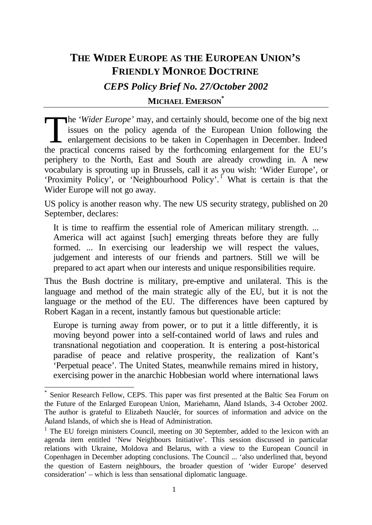# **THE WIDER EUROPE AS THE EUROPEAN UNION'S FRIENDLY MONROE DOCTRINE**

*CEPS Policy Brief No. 27/October 2002*

### **MICHAEL EMERSON\***

he *'Wider Europe'* may, and certainly should, become one of the big next issues on the policy agenda of the European Union following the enlargement decisions to be taken in Copenhagen in December. Indeed the proctical co issues on the policy agenda of the European Union following the enlargement decisions to be taken in Copenhagen in December. Indeed the practical concerns raised by the forthcoming enlargement for the EU's periphery to the North, East and South are already crowding in. A new vocabulary is sprouting up in Brussels, call it as you wish: 'Wider Europe', or 'Proximity Policy', or 'Neighbourhood Policy'.<sup>1</sup> What is certain is that the Wider Europe will not go away.

US policy is another reason why. The new US security strategy, published on 20 September, declares:

It is time to reaffirm the essential role of American military strength. ... America will act against [such] emerging threats before they are fully formed. ... In exercising our leadership we will respect the values, judgement and interests of our friends and partners. Still we will be prepared to act apart when our interests and unique responsibilities require.

Thus the Bush doctrine is military, pre-emptive and unilateral. This is the language and method of the main strategic ally of the EU, but it is not the language or the method of the EU. The differences have been captured by Robert Kagan in a recent, instantly famous but questionable article:

Europe is turning away from power, or to put it a little differently, it is moving beyond power into a self-contained world of laws and rules and transnational negotiation and cooperation. It is entering a post-historical paradise of peace and relative prosperity, the realization of Kant's 'Perpetual peace'. The United States, meanwhile remains mired in history, exercising power in the anarchic Hobbesian world where international laws

<sup>\*</sup> Senior Research Fellow, CEPS. This paper was first presented at the Baltic Sea Forum on the Future of the Enlarged European Union, Mariehamn, Åland Islands, 3-4 October 2002. The author is grateful to Elizabeth Nauclér, for sources of information and advice on the Åuland Islands, of which she is Head of Administration.

<sup>&</sup>lt;sup>1</sup> The EU foreign ministers Council, meeting on 30 September, added to the lexicon with an agenda item entitled 'New Neighbours Initiative'. This session discussed in particular relations with Ukraine, Moldova and Belarus, with a view to the European Council in Copenhagen in December adopting conclusions. The Council ... 'also underlined that, beyond the question of Eastern neighbours, the broader question of 'wider Europe' deserved consideration' – which is less than sensational diplomatic language.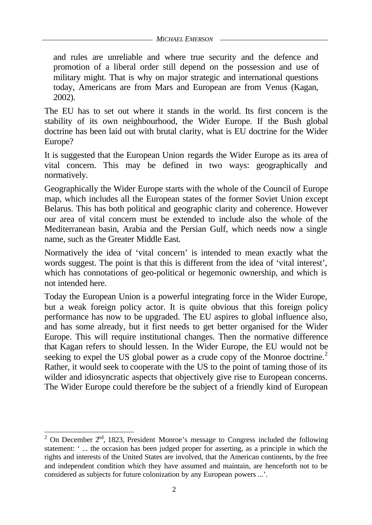and rules are unreliable and where true security and the defence and promotion of a liberal order still depend on the possession and use of military might. That is why on major strategic and international questions today, Americans are from Mars and European are from Venus (Kagan, 2002).

The EU has to set out where it stands in the world. Its first concern is the stability of its own neighbourhood, the Wider Europe. If the Bush global doctrine has been laid out with brutal clarity, what is EU doctrine for the Wider Europe?

It is suggested that the European Union regards the Wider Europe as its area of vital concern. This may be defined in two ways: geographically and normatively.

Geographically the Wider Europe starts with the whole of the Council of Europe map, which includes all the European states of the former Soviet Union except Belarus. This has both political and geographic clarity and coherence. However our area of vital concern must be extended to include also the whole of the Mediterranean basin, Arabia and the Persian Gulf, which needs now a single name, such as the Greater Middle East.

Normatively the idea of 'vital concern' is intended to mean exactly what the words suggest. The point is that this is different from the idea of 'vital interest', which has connotations of geo-political or hegemonic ownership, and which is not intended here.

Today the European Union is a powerful integrating force in the Wider Europe, but a weak foreign policy actor. It is quite obvious that this foreign policy performance has now to be upgraded. The EU aspires to global influence also, and has some already, but it first needs to get better organised for the Wider Europe. This will require institutional changes. Then the normative difference that Kagan refers to should lessen. In the Wider Europe, the EU would not be seeking to expel the US global power as a crude copy of the Monroe doctrine.<sup>2</sup> Rather, it would seek to cooperate with the US to the point of taming those of its wilder and idiosyncratic aspects that objectively give rise to European concerns. The Wider Europe could therefore be the subject of a friendly kind of European

 $\frac{2}{2}$  On December  $2<sup>nd</sup>$ , 1823, President Monroe's message to Congress included the following statement: ' ... the occasion has been judged proper for asserting, as a principle in which the rights and interests of the United States are involved, that the American continents, by the free and independent condition which they have assumed and maintain, are henceforth not to be considered as subjects for future colonization by any European powers ...'.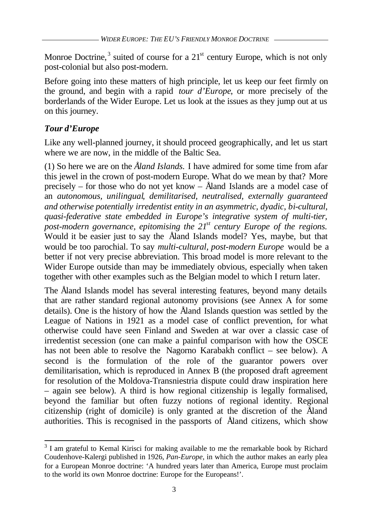Monroe Doctrine,<sup>3</sup> suited of course for a  $21<sup>st</sup>$  century Europe, which is not only post-colonial but also post-modern.

Before going into these matters of high principle, let us keep our feet firmly on the ground, and begin with a rapid *tour d'Europe*, or more precisely of the borderlands of the Wider Europe. Let us look at the issues as they jump out at us on this journey.

# *Tour d'Europe*

l

Like any well-planned journey, it should proceed geographically, and let us start where we are now, in the middle of the Baltic Sea.

(1) So here we are on the *Åland Islands.* I have admired for some time from afar this jewel in the crown of post-modern Europe. What do we mean by that? More precisely – for those who do not yet know – Åland Islands are a model case of an *autonomous, unilingual, demilitarised, neutralised, externally guaranteed and otherwise potentially irredentist entity in an asymmetric, dyadic, bi-cultural, quasi-federative state embedded in Europe's integrative system of multi-tier, post-modern governance, epitomising the 21st century Europe of the regions.* Would it be easier just to say the Åland Islands model? Yes, maybe, but that would be too parochial. To say *multi-cultural, post-modern Europe* would be a better if not very precise abbreviation. This broad model is more relevant to the Wider Europe outside than may be immediately obvious, especially when taken together with other examples such as the Belgian model to which I return later.

The Åland Islands model has several interesting features, beyond many details that are rather standard regional autonomy provisions (see Annex A for some details). One is the history of how the Åland Islands question was settled by the League of Nations in 1921 as a model case of conflict prevention, for what otherwise could have seen Finland and Sweden at war over a classic case of irredentist secession (one can make a painful comparison with how the OSCE has not been able to resolve the Nagorno Karabakh conflict – see below). A second is the formulation of the role of the guarantor powers over demilitarisation, which is reproduced in Annex B (the proposed draft agreement for resolution of the Moldova-Transniestria dispute could draw inspiration here – again see below). A third is how regional citizenship is legally formalised, beyond the familiar but often fuzzy notions of regional identity. Regional citizenship (right of domicile) is only granted at the discretion of the Åland authorities. This is recognised in the passports of Åland citizens, which show

<sup>&</sup>lt;sup>3</sup> I am grateful to Kemal Kirisci for making available to me the remarkable book by Richard Coudenhove-Kalergi published in 1926, *Pan-Europe,* in which the author makes an early plea for a European Monroe doctrine: 'A hundred years later than America, Europe must proclaim to the world its own Monroe doctrine: Europe for the Europeans!'.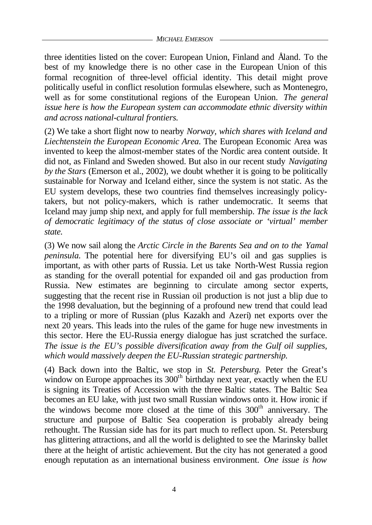three identities listed on the cover: European Union, Finland and Åland. To the best of my knowledge there is no other case in the European Union of this formal recognition of three-level official identity. This detail might prove politically useful in conflict resolution formulas elsewhere, such as Montenegro, well as for some constitutional regions of the European Union. *The general issue here is how the European system can accommodate ethnic diversity within and across national-cultural frontiers.*

(2) We take a short flight now to nearby *Norway, which shares with Iceland and Liechtenstein the European Economic Area.* The European Economic Area was invented to keep the almost-member states of the Nordic area content outside. It did not, as Finland and Sweden showed. But also in our recent study *Navigating by the Stars* (Emerson et al., 2002), we doubt whether it is going to be politically sustainable for Norway and Iceland either, since the system is not static. As the EU system develops, these two countries find themselves increasingly policytakers, but not policy-makers, which is rather undemocratic. It seems that Iceland may jump ship next, and apply for full membership. *The issue is the lack of democratic legitimacy of the status of close associate or 'virtual' member state.*

(3) We now sail along the *Arctic Circle in the Barents Sea and on to the Yamal peninsula.* The potential here for diversifying EU's oil and gas supplies is important, as with other parts of Russia. Let us take North-West Russia region as standing for the overall potential for expanded oil and gas production from Russia. New estimates are beginning to circulate among sector experts, suggesting that the recent rise in Russian oil production is not just a blip due to the 1998 devaluation, but the beginning of a profound new trend that could lead to a tripling or more of Russian (plus Kazakh and Azeri) net exports over the next 20 years. This leads into the rules of the game for huge new investments in this sector. Here the EU-Russia energy dialogue has just scratched the surface. *The issue is the EU's possible diversification away from the Gulf oil supplies, which would massively deepen the EU-Russian strategic partnership.*

(4) Back down into the Baltic, we stop in *St. Petersburg.* Peter the Great's window on Europe approaches its  $300<sup>th</sup>$  birthday next year, exactly when the EU is signing its Treaties of Accession with the three Baltic states. The Baltic Sea becomes an EU lake, with just two small Russian windows onto it. How ironic if the windows become more closed at the time of this  $300<sup>th</sup>$  anniversary. The structure and purpose of Baltic Sea cooperation is probably already being rethought. The Russian side has for its part much to reflect upon. St. Petersburg has glittering attractions, and all the world is delighted to see the Marinsky ballet there at the height of artistic achievement. But the city has not generated a good enough reputation as an international business environment. *One issue is how*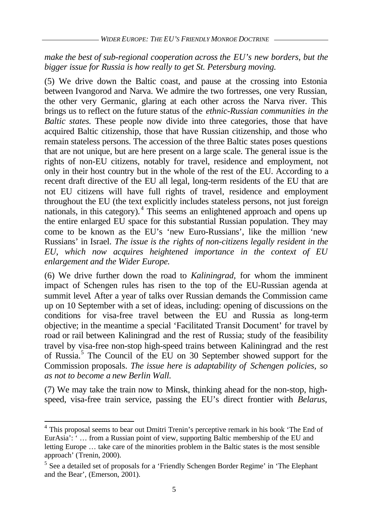# *make the best of sub-regional cooperation across the EU's new borders, but the bigger issue for Russia is how really to get St. Petersburg moving.*

(5) We drive down the Baltic coast, and pause at the crossing into Estonia between Ivangorod and Narva. We admire the two fortresses, one very Russian, the other very Germanic, glaring at each other across the Narva river. This brings us to reflect on the future status of the *ethnic-Russian communities in the Baltic states.* These people now divide into three categories, those that have acquired Baltic citizenship, those that have Russian citizenship, and those who remain stateless persons. The accession of the three Baltic states poses questions that are not unique, but are here present on a large scale. The general issue is the rights of non-EU citizens, notably for travel, residence and employment, not only in their host country but in the whole of the rest of the EU. According to a recent draft directive of the EU all legal, long-term residents of the EU that are not EU citizens will have full rights of travel, residence and employment throughout the EU (the text explicitly includes stateless persons, not just foreign nationals, in this category).<sup>4</sup> This seems an enlightened approach and opens up the entire enlarged EU space for this substantial Russian population. They may come to be known as the EU's 'new Euro-Russians', like the million 'new Russians' in Israel. *The issue is the rights of non-citizens legally resident in the EU, which now acquires heightened importance in the context of EU enlargement and the Wider Europe.*

(6) We drive further down the road to *Kaliningrad,* for whom the imminent impact of Schengen rules has risen to the top of the EU-Russian agenda at summit level*.* After a year of talks over Russian demands the Commission came up on 10 September with a set of ideas, including: opening of discussions on the conditions for visa-free travel between the EU and Russia as long-term objective; in the meantime a special 'Facilitated Transit Document' for travel by road or rail between Kaliningrad and the rest of Russia; study of the feasibility travel by visa-free non-stop high-speed trains between Kaliningrad and the rest of Russia.<sup>5</sup> The Council of the EU on 30 September showed support for the Commission proposals. *The issue here is adaptability of Schengen policies, so as not to become a new Berlin Wall.*

(7) We may take the train now to Minsk, thinking ahead for the non-stop, highspeed, visa-free train service, passing the EU's direct frontier with *Belarus,*

<sup>&</sup>lt;sup>4</sup> This proposal seems to bear out Dmitri Trenin's perceptive remark in his book 'The End of EurAsia': ' … from a Russian point of view, supporting Baltic membership of the EU and letting Europe … take care of the minorities problem in the Baltic states is the most sensible approach' (Trenin, 2000).

<sup>&</sup>lt;sup>5</sup> See a detailed set of proposals for a 'Friendly Schengen Border Regime' in 'The Elephant and the Bear', (Emerson, 2001).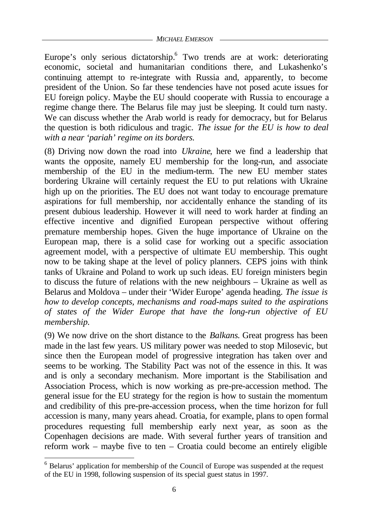Europe's only serious dictatorship.<sup>6</sup> Two trends are at work: deteriorating economic, societal and humanitarian conditions there, and Lukashenko's continuing attempt to re-integrate with Russia and, apparently, to become president of the Union. So far these tendencies have not posed acute issues for EU foreign policy. Maybe the EU should cooperate with Russia to encourage a regime change there*.* The Belarus file may just be sleeping. It could turn nasty. We can discuss whether the Arab world is ready for democracy, but for Belarus the question is both ridiculous and tragic. *The issue for the EU is how to deal with a near 'pariah' regime on its borders.*

(8) Driving now down the road into *Ukraine*, here we find a leadership that wants the opposite, namely EU membership for the long-run, and associate membership of the EU in the medium-term. The new EU member states bordering Ukraine will certainly request the EU to put relations with Ukraine high up on the priorities. The EU does not want today to encourage premature aspirations for full membership, nor accidentally enhance the standing of its present dubious leadership. However it will need to work harder at finding an effective incentive and dignified European perspective without offering premature membership hopes. Given the huge importance of Ukraine on the European map, there is a solid case for working out a specific association agreement model, with a perspective of ultimate EU membership. This ought now to be taking shape at the level of policy planners. CEPS joins with think tanks of Ukraine and Poland to work up such ideas. EU foreign ministers begin to discuss the future of relations with the new neighbours – Ukraine as well as Belarus and Moldova – under their 'Wider Europe' agenda heading. *The issue is how to develop concepts, mechanisms and road-maps suited to the aspirations of states of the Wider Europe that have the long-run objective of EU membership.*

(9) We now drive on the short distance to the *Balkans.* Great progress has been made in the last few years. US military power was needed to stop Milosevic, but since then the European model of progressive integration has taken over and seems to be working. The Stability Pact was not of the essence in this. It was and is only a secondary mechanism. More important is the Stabilisation and Association Process, which is now working as pre-pre-accession method. The general issue for the EU strategy for the region is how to sustain the momentum and credibility of this pre-pre-accession process, when the time horizon for full accession is many, many years ahead. Croatia, for example, plans to open formal procedures requesting full membership early next year, as soon as the Copenhagen decisions are made. With several further years of transition and reform work – maybe five to ten – Croatia could become an entirely eligible

<sup>&</sup>lt;sup>6</sup> Belarus' application for membership of the Council of Europe was suspended at the request of the EU in 1998, following suspension of its special guest status in 1997.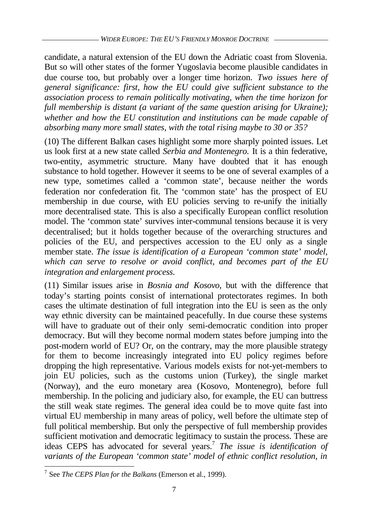candidate, a natural extension of the EU down the Adriatic coast from Slovenia. But so will other states of the former Yugoslavia become plausible candidates in due course too, but probably over a longer time horizon. *Two issues here of general significance: first, how the EU could give sufficient substance to the association process to remain politically motivating, when the time horizon for full membership is distant (a variant of the same question arising for Ukraine); whether and how the EU constitution and institutions can be made capable of absorbing many more small states, with the total rising maybe to 30 or 35?*

(10) The different Balkan cases highlight some more sharply pointed issues. Let us look first at a new state called *Serbia and Montenegro.* It is a thin federative, two-entity, asymmetric structure. Many have doubted that it has enough substance to hold together. However it seems to be one of several examples of a new type, sometimes called a 'common state', because neither the words federation nor confederation fit. The 'common state' has the prospect of EU membership in due course, with EU policies serving to re-unify the initially more decentralised state. This is also a specifically European conflict resolution model. The 'common state' survives inter-communal tensions because it is very decentralised; but it holds together because of the overarching structures and policies of the EU, and perspectives accession to the EU only as a single member state. *The issue is identification of a European 'common state' model, which can serve to resolve or avoid conflict, and becomes part of the EU integration and enlargement process.*

(11) Similar issues arise in *Bosnia and Kosovo*, but with the difference that today's starting points consist of international protectorates regimes. In both cases the ultimate destination of full integration into the EU is seen as the only way ethnic diversity can be maintained peacefully. In due course these systems will have to graduate out of their only semi-democratic condition into proper democracy. But will they become normal modern states before jumping into the post-modern world of EU? Or, on the contrary, may the more plausible strategy for them to become increasingly integrated into EU policy regimes before dropping the high representative. Various models exists for not-yet-members to join EU policies, such as the customs union (Turkey), the single market (Norway), and the euro monetary area (Kosovo, Montenegro), before full membership. In the policing and judiciary also, for example, the EU can buttress the still weak state regimes. The general idea could be to move quite fast into virtual EU membership in many areas of policy, well before the ultimate step of full political membership. But only the perspective of full membership provides sufficient motivation and democratic legitimacy to sustain the process. These are ideas CEPS has advocated for several years.<sup>7</sup> *The issue is identification of variants of the European 'common state' model of ethnic conflict resolution, in*

l 7 See *The CEPS Plan for the Balkans* (Emerson et al., 1999).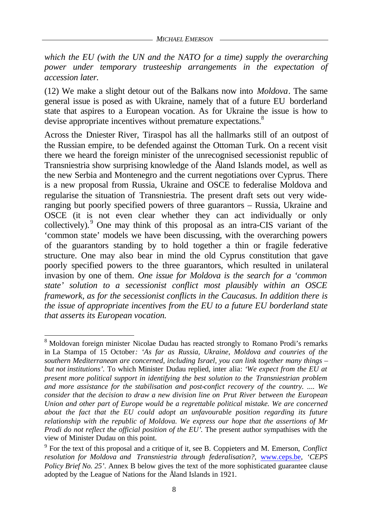*which the EU (with the UN and the NATO for a time) supply the overarching power under temporary trusteeship arrangements in the expectation of accession later.*

(12) We make a slight detour out of the Balkans now into *Moldova*. The same general issue is posed as with Ukraine, namely that of a future EU borderland state that aspires to a European vocation. As for Ukraine the issue is how to devise appropriate incentives without premature expectations.<sup>8</sup>

Across the Dniester River, Tiraspol has all the hallmarks still of an outpost of the Russian empire, to be defended against the Ottoman Turk. On a recent visit there we heard the foreign minister of the unrecognised secessionist republic of Transniestria show surprising knowledge of the Åland Islands model, as well as the new Serbia and Montenegro and the current negotiations over Cyprus. There is a new proposal from Russia, Ukraine and OSCE to federalise Moldova and regularise the situation of Transniestria. The present draft sets out very wideranging but poorly specified powers of three guarantors – Russia, Ukraine and OSCE (it is not even clear whether they can act individually or only collectively).<sup>9</sup> One may think of this proposal as an intra-CIS variant of the 'common state' models we have been discussing, with the overarching powers of the guarantors standing by to hold together a thin or fragile federative structure. One may also bear in mind the old Cyprus constitution that gave poorly specified powers to the three guarantors, which resulted in unilateral invasion by one of them. *One issue for Moldova is the search for a 'common state' solution to a secessionist conflict most plausibly within an OSCE framework, as for the secessionist conflicts in the Caucasus. In addition there is the issue of appropriate incentives from the EU to a future EU borderland state that asserts its European vocation.*

l <sup>8</sup> Moldovan foreign minister Nicolae Dudau has reacted strongly to Romano Prodi's remarks in La Stampa of 15 October*: 'As far as Russia, Ukraine, Moldova and counries of the southern Mediterranean are concerned, including Israel, you can link together many things – but not institutions'.* To which Minister Dudau replied, inter alia: *'We expect from the EU at present more political support in identifying the best solution to the Transniestrian problem and more assistance for the stabilisation and post-confict recovery of the country. .... We consider that the decision to draw a new division line on Prut River between the European Union and other part of Europe would be a regrettable political mistake. We are concerned about the fact that the EU could adopt an unfavourable position regarding its future relationship with the republic of Moldova. We express our hope that the assertions of Mr Prodi do not reflect the official position of the EU'*. The present author sympathises with the view of Minister Dudau on this point.

<sup>9</sup> For the text of this proposal and a critique of it, see B. Coppieters and M. Emerson, *Conflict resolution for Moldova and Transniestria through federalisation?,* www.ceps.be*, 'CEPS Policy Brief No. 25'*. Annex B below gives the text of the more sophisticated guarantee clause adopted by the League of Nations for the Åland Islands in 1921.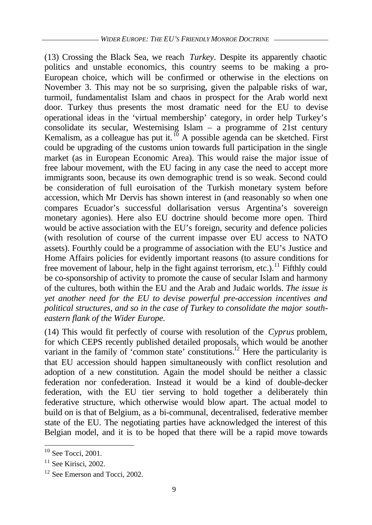(13) Crossing the Black Sea, we reach *Turkey*. Despite its apparently chaotic politics and unstable economics, this country seems to be making a pro-European choice, which will be confirmed or otherwise in the elections on November 3. This may not be so surprising, given the palpable risks of war, turmoil, fundamentalist Islam and chaos in prospect for the Arab world next door. Turkey thus presents the most dramatic need for the EU to devise operational ideas in the 'virtual membership' category, in order help Turkey's consolidate its secular, Westernising Islam – a programme of 21st century Kemalism, as a colleague has put it.  $\frac{10}{10}$  A possible agenda can be sketched. First could be upgrading of the customs union towards full participation in the single market (as in European Economic Area). This would raise the major issue of free labour movement, with the EU facing in any case the need to accept more immigrants soon, because its own demographic trend is so weak. Second could be consideration of full euroisation of the Turkish monetary system before accession, which Mr Dervis has shown interest in (and reasonably so when one compares Ecuador's successful dollarisation versus Argentina's sovereign monetary agonies). Here also EU doctrine should become more open. Third would be active association with the EU's foreign, security and defence policies (with resolution of course of the current impasse over EU access to NATO assets). Fourthly could be a programme of association with the EU's Justice and Home Affairs policies for evidently important reasons (to assure conditions for free movement of labour, help in the fight against terrorism, etc.).<sup>11</sup> Fifthly could be co-sponsorship of activity to promote the cause of secular Islam and harmony of the cultures, both within the EU and the Arab and Judaic worlds. *The issue is yet another need for the EU to devise powerful pre-accession incentives and political structures, and so in the case of Turkey to consolidate the major southeastern flank of the Wider Europe.*

(14) This would fit perfectly of course with resolution of the *Cyprus* problem, for which CEPS recently published detailed proposals, which would be another variant in the family of 'common state' constitutions.<sup>12</sup> Here the particularity is that EU accession should happen simultaneously with conflict resolution and adoption of a new constitution. Again the model should be neither a classic federation nor confederation. Instead it would be a kind of double-decker federation, with the EU tier serving to hold together a deliberately thin federative structure, which otherwise would blow apart. The actual model to build on is that of Belgium, as a bi-communal, decentralised, federative member state of the EU. The negotiating parties have acknowledged the interest of this Belgian model, and it is to be hoped that there will be a rapid move towards

 $10$  See Tocci, 2001.

 $11$  See Kirisci, 2002.

 $12$  See Emerson and Tocci, 2002.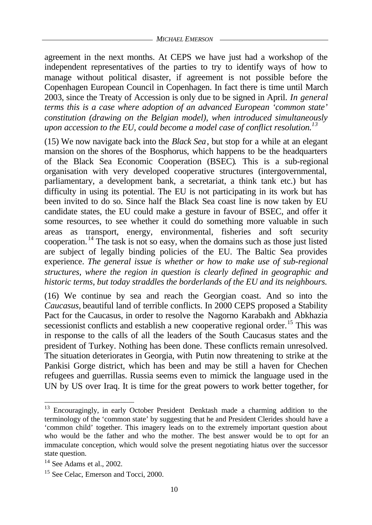agreement in the next months. At CEPS we have just had a workshop of the independent representatives of the parties to try to identify ways of how to manage without political disaster, if agreement is not possible before the Copenhagen European Council in Copenhagen. In fact there is time until March 2003, since the Treaty of Accession is only due to be signed in April. *In general terms this is a case where adoption of an advanced European 'common state' constitution (drawing on the Belgian model), when introduced simultaneously upon accession to the EU, could become a model case of conflict resolution.<sup>13</sup>*

(15) We now navigate back into the *Black Sea*, but stop for a while at an elegant mansion on the shores of the Bosphorus, which happens to be the headquarters of the Black Sea Economic Cooperation (BSEC)*.* This is a sub-regional organisation with very developed cooperative structures (intergovernmental, parliamentary, a development bank, a secretariat, a think tank etc.) but has difficulty in using its potential. The EU is not participating in its work but has been invited to do so. Since half the Black Sea coast line is now taken by EU candidate states, the EU could make a gesture in favour of BSEC, and offer it some resources, to see whether it could do something more valuable in such areas as transport, energy, environmental, fisheries and soft security cooperation. <sup>14</sup> The task is not so easy, when the domains such as those just listed are subject of legally binding policies of the EU. The Baltic Sea provides experience. *The general issue is whether or how to make use of sub-regional structures, where the region in question is clearly defined in geographic and historic terms, but today straddles the borderlands of the EU and its neighbours.*

(16) We continue by sea and reach the Georgian coast. And so into the *Caucasus,* beautiful land of terrible conflicts. In 2000 CEPS proposed a Stability Pact for the Caucasus, in order to resolve the Nagorno Karabakh and Abkhazia secessionist conflicts and establish a new cooperative regional order.<sup>15</sup> This was in response to the calls of all the leaders of the South Caucasus states and the president of Turkey. Nothing has been done. These conflicts remain unresolved. The situation deteriorates in Georgia, with Putin now threatening to strike at the Pankisi Gorge district, which has been and may be still a haven for Chechen refugees and guerrillas. Russia seems even to mimick the language used in the UN by US over Iraq. It is time for the great powers to work better together, for

<sup>&</sup>lt;sup>13</sup> Encouragingly, in early October President Denktash made a charming addition to the terminology of the 'common state' by suggesting that he and President Clerides should have a 'common child' together. This imagery leads on to the extremely important question about who would be the father and who the mother. The best answer would be to opt for an immaculate conception, which would solve the present negotiating hiatus over the successor state question.

 $14$  See Adams et al., 2002.

<sup>&</sup>lt;sup>15</sup> See Celac, Emerson and Tocci, 2000.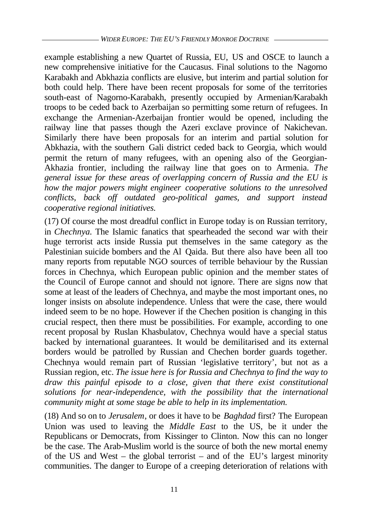example establishing a new Quartet of Russia, EU, US and OSCE to launch a new comprehensive initiative for the Caucasus. Final solutions to the Nagorno Karabakh and Abkhazia conflicts are elusive, but interim and partial solution for both could help. There have been recent proposals for some of the territories south-east of Nagorno-Karabakh, presently occupied by Armenian/Karabakh troops to be ceded back to Azerbaijan so permitting some return of refugees. In exchange the Armenian-Azerbaijan frontier would be opened, including the railway line that passes though the Azeri exclave province of Nakichevan. Similarly there have been proposals for an interim and partial solution for Abkhazia, with the southern Gali district ceded back to Georgia, which would permit the return of many refugees, with an opening also of the Georgian-Akhazia frontier, including the railway line that goes on to Armenia. *The general issue for these areas of overlapping concern of Russia and the EU is how the major powers might engineer cooperative solutions to the unresolved conflicts, back off outdated geo-political games, and support instead cooperative regional initiatives.*

(17) Of course the most dreadful conflict in Europe today is on Russian territory, in *Chechnya.* The Islamic fanatics that spearheaded the second war with their huge terrorist acts inside Russia put themselves in the same category as the Palestinian suicide bombers and the Al Qaida. But there also have been all too many reports from reputable NGO sources of terrible behaviour by the Russian forces in Chechnya, which European public opinion and the member states of the Council of Europe cannot and should not ignore. There are signs now that some at least of the leaders of Chechnya, and maybe the most important ones, no longer insists on absolute independence. Unless that were the case, there would indeed seem to be no hope. However if the Chechen position is changing in this crucial respect, then there must be possibilities. For example, according to one recent proposal by Ruslan Khasbulatov, Chechnya would have a special status backed by international guarantees. It would be demilitarised and its external borders would be patrolled by Russian and Chechen border guards together. Chechnya would remain part of Russian 'legislative territory', but not as a Russian region, etc. *The issue here is for Russia and Chechnya to find the way to draw this painful episode to a close, given that there exist constitutional solutions for near-independence, with the possibility that the international community might at some stage be able to help in its implementation.*

(18) And so on to *Jerusalem*, or does it have to be *Baghdad* first? The European Union was used to leaving the *Middle East* to the US, be it under the Republicans or Democrats, from Kissinger to Clinton. Now this can no longer be the case. The Arab-Muslim world is the source of both the new mortal enemy of the US and West – the global terrorist – and of the EU's largest minority communities. The danger to Europe of a creeping deterioration of relations with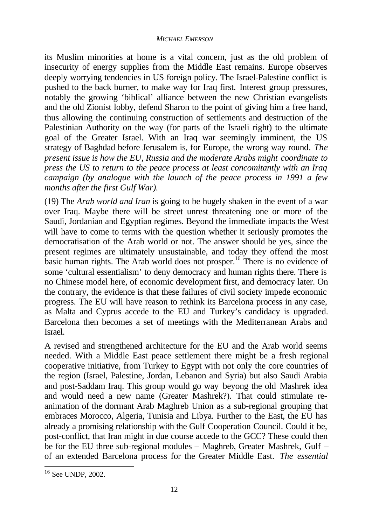its Muslim minorities at home is a vital concern, just as the old problem of insecurity of energy supplies from the Middle East remains. Europe observes deeply worrying tendencies in US foreign policy. The Israel-Palestine conflict is pushed to the back burner, to make way for Iraq first. Interest group pressures, notably the growing 'biblical' alliance between the new Christian evangelists and the old Zionist lobby, defend Sharon to the point of giving him a free hand, thus allowing the continuing construction of settlements and destruction of the Palestinian Authority on the way (for parts of the Israeli right) to the ultimate goal of the Greater Israel. With an Iraq war seemingly imminent, the US strategy of Baghdad before Jerusalem is, for Europe, the wrong way round*. The present issue is how the EU, Russia and the moderate Arabs might coordinate to press the US to return to the peace process at least concomitantly with an Iraq campaign (by analogue with the launch of the peace process in 1991 a few months after the first Gulf War).*

(19) The *Arab world and Iran* is going to be hugely shaken in the event of a war over Iraq. Maybe there will be street unrest threatening one or more of the Saudi, Jordanian and Egyptian regimes. Beyond the immediate impacts the West will have to come to terms with the question whether it seriously promotes the democratisation of the Arab world or not. The answer should be yes, since the present regimes are ultimately unsustainable, and today they offend the most basic human rights. The Arab world does not prosper.<sup>16</sup> There is no evidence of some 'cultural essentialism' to deny democracy and human rights there. There is no Chinese model here, of economic development first, and democracy later. On the contrary, the evidence is that these failures of civil society impede economic progress. The EU will have reason to rethink its Barcelona process in any case, as Malta and Cyprus accede to the EU and Turkey's candidacy is upgraded. Barcelona then becomes a set of meetings with the Mediterranean Arabs and Israel.

A revised and strengthened architecture for the EU and the Arab world seems needed. With a Middle East peace settlement there might be a fresh regional cooperative initiative, from Turkey to Egypt with not only the core countries of the region (Israel, Palestine, Jordan, Lebanon and Syria) but also Saudi Arabia and post-Saddam Iraq. This group would go way beyong the old Mashrek idea and would need a new name (Greater Mashrek?). That could stimulate reanimation of the dormant Arab Maghreb Union as a sub-regional grouping that embraces Morocco, Algeria, Tunisia and Libya. Further to the East, the EU has already a promising relationship with the Gulf Cooperation Council. Could it be, post-conflict, that Iran might in due course accede to the GCC? These could then be for the EU three sub-regional modules – Maghreb, Greater Mashrek, Gulf – of an extended Barcelona process for the Greater Middle East. *The essential*

<sup>16</sup> See UNDP, 2002.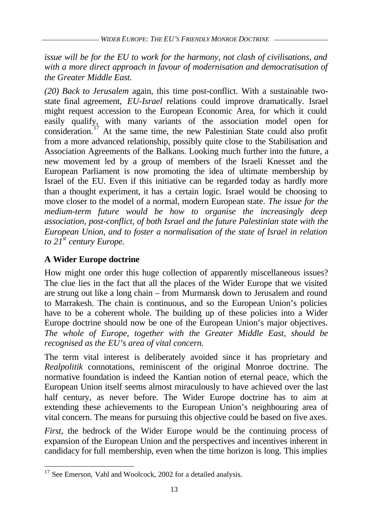*issue will be for the EU to work for the harmony, not clash of civilisations, and with a more direct approach in favour of modernisation and democratisation of the Greater Middle East.*

*(20) Back to Jerusalem* again, this time post-conflict. With a sustainable twostate final agreement, *EU-Israel* relations could improve dramatically. Israel might request accession to the European Economic Area, for which it could easily qualify, with many variants of the association model open for consideration.<sup>17</sup> At the same time, the new Palestinian State could also profit from a more advanced relationship, possibly quite close to the Stabilisation and Association Agreements of the Balkans. Looking much further into the future, a new movement led by a group of members of the Israeli Knesset and the European Parliament is now promoting the idea of ultimate membership by Israel of the EU. Even if this initiative can be regarded today as hardly more than a thought experiment, it has a certain logic. Israel would be choosing to move closer to the model of a normal, modern European state. *The issue for the medium-term future would be how to organise the increasingly deep association, post-conflict, of both Israel and the future Palestinian state with the European Union, and to foster a normalisation of the state of Israel in relation to 21st century Europe.*

# **A Wider Europe doctrine**

l

How might one order this huge collection of apparently miscellaneous issues? The clue lies in the fact that all the places of the Wider Europe that we visited are strung out like a long chain – from Murmansk down to Jerusalem and round to Marrakesh. The chain is continuous, and so the European Union's policies have to be a coherent whole. The building up of these policies into a Wider Europe doctrine should now be one of the European Union's major objectives. *The whole of Europe, together with the Greater Middle East, should be recognised as the EU's area of vital concern.*

The term vital interest is deliberately avoided since it has proprietary and *Realpolitik* connotations, reminiscent of the original Monroe doctrine. The normative foundation is indeed the Kantian notion of eternal peace, which the European Union itself seems almost miraculously to have achieved over the last half century, as never before. The Wider Europe doctrine has to aim at extending these achievements to the European Union's neighbouring area of vital concern. The means for pursuing this objective could be based on five axes.

*First,* the bedrock of the Wider Europe would be the continuing process of expansion of the European Union and the perspectives and incentives inherent in candidacy for full membership, even when the time horizon is long. This implies

<sup>&</sup>lt;sup>17</sup> See Emerson, Vahl and Woolcock, 2002 for a detailed analysis.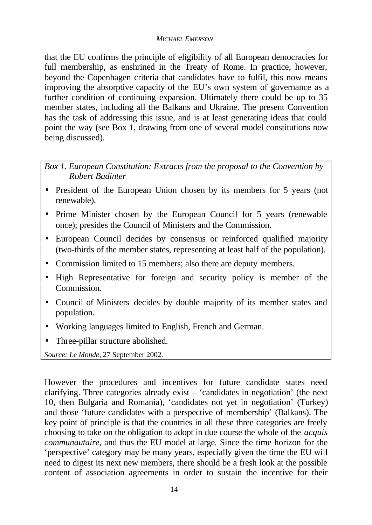that the EU confirms the principle of eligibility of all European democracies for full membership, as enshrined in the Treaty of Rome. In practice, however, beyond the Copenhagen criteria that candidates have to fulfil, this now means improving the absorptive capacity of the EU's own system of governance as a further condition of continuing expansion. Ultimately there could be up to 35 member states, including all the Balkans and Ukraine. The present Convention has the task of addressing this issue, and is at least generating ideas that could point the way (see Box 1, drawing from one of several model constitutions now being discussed).

*Box 1. European Constitution: Extracts from the proposal to the Convention by Robert Badinter*

- President of the European Union chosen by its members for 5 years (not renewable).
- Prime Minister chosen by the European Council for 5 years (renewable once); presides the Council of Ministers and the Commission.
- European Council decides by consensus or reinforced qualified majority (two-thirds of the member states, representing at least half of the population).
- Commission limited to 15 members; also there are deputy members.
- High Representative for foreign and security policy is member of the Commission.
- Council of Ministers decides by double majority of its member states and population.
- Working languages limited to English, French and German.
- Three-pillar structure abolished.

*Source: Le Monde,* 27 September 2002*.*

However the procedures and incentives for future candidate states need clarifying. Three categories already exist – 'candidates in negotiation' (the next 10, then Bulgaria and Romania), 'candidates not yet in negotiation' (Turkey) and those 'future candidates with a perspective of membership' (Balkans). The key point of principle is that the countries in all these three categories are freely choosing to take on the obligation to adopt in due course the whole of the *acquis communautaire,* and thus the EU model at large*.* Since the time horizon for the 'perspective' category may be many years, especially given the time the EU will need to digest its next new members, there should be a fresh look at the possible content of association agreements in order to sustain the incentive for their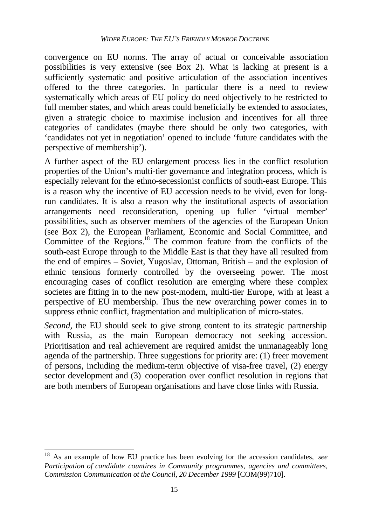convergence on EU norms. The array of actual or conceivable association possibilities is very extensive (see Box 2). What is lacking at present is a sufficiently systematic and positive articulation of the association incentives offered to the three categories. In particular there is a need to review systematically which areas of EU policy do need objectively to be restricted to full member states, and which areas could beneficially be extended to associates, given a strategic choice to maximise inclusion and incentives for all three categories of candidates (maybe there should be only two categories, with 'candidates not yet in negotiation' opened to include 'future candidates with the perspective of membership').

A further aspect of the EU enlargement process lies in the conflict resolution properties of the Union's multi-tier governance and integration process, which is especially relevant for the ethno-secessionist conflicts of south-east Europe. This is a reason why the incentive of EU accession needs to be vivid, even for longrun candidates. It is also a reason why the institutional aspects of association arrangements need reconsideration, opening up fuller 'virtual member' possibilities, such as observer members of the agencies of the European Union (see Box 2), the European Parliament, Economic and Social Committee, and Committee of the Regions.<sup>18</sup> The common feature from the conflicts of the south-east Europe through to the Middle East is that they have all resulted from the end of empires – Soviet, Yugoslav, Ottoman, British – and the explosion of ethnic tensions formerly controlled by the overseeing power. The most encouraging cases of conflict resolution are emerging where these complex societes are fitting in to the new post-modern, multi-tier Europe, with at least a perspective of EU membership. Thus the new overarching power comes in to suppress ethnic conflict, fragmentation and multiplication of micro-states.

*Second,* the EU should seek to give strong content to its strategic partnership with Russia, as the main European democracy not seeking accession. Prioritisation and real achievement are required amidst the unmanageably long agenda of the partnership. Three suggestions for priority are: (1) freer movement of persons, including the medium-term objective of visa-free travel, (2) energy sector development and (3) cooperation over conflict resolution in regions that are both members of European organisations and have close links with Russia.

<sup>18</sup> As an example of how EU practice has been evolving for the accession candidates, *see Participation of candidate countires in Community programmes, agencies and committees, Commission Communication ot the Council, 20 December 1999* [COM(99)710].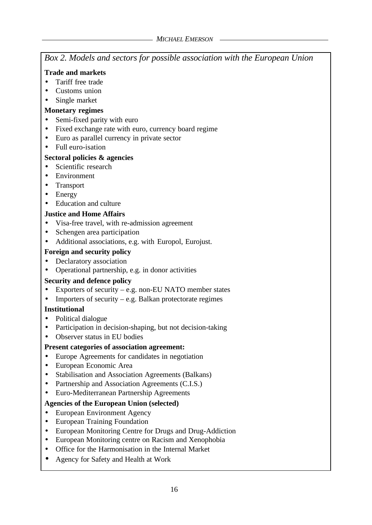*Box 2. Models and sectors for possible association with the European Union*

### **Trade and markets**

- Tariff free trade
- Customs union
- Single market

### **Monetary regimes**

- Semi-fixed parity with euro
- Fixed exchange rate with euro, currency board regime
- Euro as parallel currency in private sector
- Full euro-isation

# **Sectoral policies & agencies**

- Scientific research
- Environment
- Transport
- Energy
- Education and culture

# **Justice and Home Affairs**

- Visa-free travel, with re-admission agreement
- Schengen area participation
- Additional associations, e.g. with Europol, Eurojust.

# **Foreign and security policy**

- Declaratory association
- Operational partnership, e.g. in donor activities

# **Security and defence policy**

- Exporters of security e.g. non-EU NATO member states
- Importers of security e.g. Balkan protectorate regimes

### **Institutional**

- Political dialogue
- Participation in decision-shaping, but not decision-taking
- Observer status in EU bodies

# **Present categories of association agreement:**

- Europe Agreements for candidates in negotiation
- European Economic Area
- Stabilisation and Association Agreements (Balkans)
- Partnership and Association Agreements (C.I.S.)
- Euro-Mediterranean Partnership Agreements

# **Agencies of the European Union (selected)**

- European Environment Agency
- European Training Foundation
- European Monitoring Centre for Drugs and Drug-Addiction
- European Monitoring centre on Racism and Xenophobia
- Office for the Harmonisation in the Internal Market
- Agency for Safety and Health at Work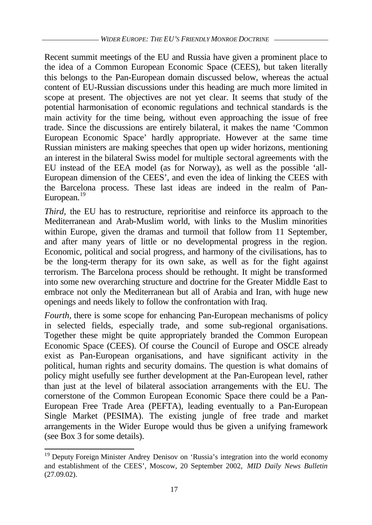Recent summit meetings of the EU and Russia have given a prominent place to the idea of a Common European Economic Space (CEES), but taken literally this belongs to the Pan-European domain discussed below, whereas the actual content of EU-Russian discussions under this heading are much more limited in scope at present. The objectives are not yet clear. It seems that study of the potential harmonisation of economic regulations and technical standards is the main activity for the time being, without even approaching the issue of free trade. Since the discussions are entirely bilateral, it makes the name 'Common European Economic Space' hardly appropriate. However at the same time Russian ministers are making speeches that open up wider horizons, mentioning an interest in the bilateral Swiss model for multiple sectoral agreements with the EU instead of the EEA model (as for Norway), as well as the possible 'all-European dimension of the CEES', and even the idea of linking the CEES with the Barcelona process. These last ideas are indeed in the realm of Pan-European.<sup>19</sup>

*Third,* the EU has to restructure, reprioritise and reinforce its approach to the Mediterranean and Arab-Muslim world, with links to the Muslim minorities within Europe, given the dramas and turmoil that follow from 11 September, and after many years of little or no developmental progress in the region. Economic, political and social progress, and harmony of the civilisations, has to be the long-term therapy for its own sake, as well as for the fight against terrorism. The Barcelona process should be rethought. It might be transformed into some new overarching structure and doctrine for the Greater Middle East to embrace not only the Mediterranean but all of Arabia and Iran, with huge new openings and needs likely to follow the confrontation with Iraq.

*Fourth,* there is some scope for enhancing Pan-European mechanisms of policy in selected fields, especially trade, and some sub-regional organisations. Together these might be quite appropriately branded the Common European Economic Space (CEES). Of course the Council of Europe and OSCE already exist as Pan-European organisations, and have significant activity in the political, human rights and security domains. The question is what domains of policy might usefully see further development at the Pan-European level, rather than just at the level of bilateral association arrangements with the EU. The cornerstone of the Common European Economic Space there could be a Pan-European Free Trade Area (PEFTA), leading eventually to a Pan-European Single Market (PESIMA). The existing jungle of free trade and market arrangements in the Wider Europe would thus be given a unifying framework (see Box 3 for some details).

<sup>&</sup>lt;sup>19</sup> Deputy Foreign Minister Andrey Denisov on 'Russia's integration into the world economy and establishment of the CEES', Moscow, 20 September 2002, *MID Daily News Bulletin* (27.09.02).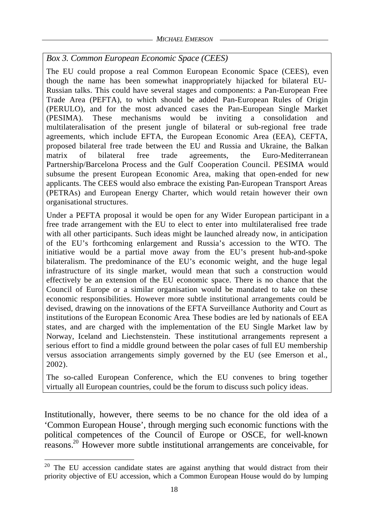*Box 3. Common European Economic Space (CEES)*

The EU could propose a real Common European Economic Space (CEES), even though the name has been somewhat inappropriately hijacked for bilateral EU-Russian talks. This could have several stages and components: a Pan-European Free Trade Area (PEFTA), to which should be added Pan-European Rules of Origin (PERULO), and for the most advanced cases the Pan-European Single Market (PESIMA). These mechanisms would be inviting a consolidation and multilateralisation of the present jungle of bilateral or sub-regional free trade agreements, which include EFTA, the European Economic Area (EEA), CEFTA, proposed bilateral free trade between the EU and Russia and Ukraine, the Balkan matrix of bilateral free trade agreements, the Euro-Mediterranean Partnership/Barcelona Process and the Gulf Cooperation Council. PESIMA would subsume the present European Economic Area, making that open-ended for new applicants. The CEES would also embrace the existing Pan-European Transport Areas (PETRAs) and European Energy Charter, which would retain however their own organisational structures.

Under a PEFTA proposal it would be open for any Wider European participant in a free trade arrangement with the EU to elect to enter into multilateralised free trade with all other participants. Such ideas might be launched already now, in anticipation of the EU's forthcoming enlargement and Russia's accession to the WTO. The initiative would be a partial move away from the EU's present hub-and-spoke bilateralism. The predominance of the EU's economic weight, and the huge legal infrastructure of its single market, would mean that such a construction would effectively be an extension of the EU economic space. There is no chance that the Council of Europe or a similar organisation would be mandated to take on these economic responsibilities. However more subtle institutional arrangements could be devised, drawing on the innovations of the EFTA Surveillance Authority and Court as institutions of the European Economic Area. These bodies are led by nationals of EEA states, and are charged with the implementation of the EU Single Market law by Norway, Iceland and Liechstenstein. These institutional arrangements represent a serious effort to find a middle ground between the polar cases of full EU membership versus association arrangements simply governed by the EU (see Emerson et al., 2002).

The so-called European Conference, which the EU convenes to bring together virtually all European countries, could be the forum to discuss such policy ideas.

Institutionally, however, there seems to be no chance for the old idea of a 'Common European House', through merging such economic functions with the political competences of the Council of Europe or OSCE, for well-known reasons. <sup>20</sup> However more subtle institutional arrangements are conceivable, for

 $20$  The EU accession candidate states are against anything that would distract from their priority objective of EU accession, which a Common European House would do by lumping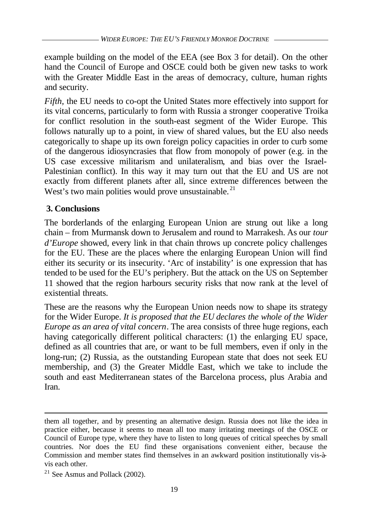example building on the model of the EEA (see Box 3 for detail). On the other hand the Council of Europe and OSCE could both be given new tasks to work with the Greater Middle East in the areas of democracy, culture, human rights and security.

*Fifth,* the EU needs to co-opt the United States more effectively into support for its vital concerns, particularly to form with Russia a stronger cooperative Troika for conflict resolution in the south-east segment of the Wider Europe. This follows naturally up to a point, in view of shared values, but the EU also needs categorically to shape up its own foreign policy capacities in order to curb some of the dangerous idiosyncrasies that flow from monopoly of power (e.g. in the US case excessive militarism and unilateralism, and bias over the Israel-Palestinian conflict). In this way it may turn out that the EU and US are not exactly from different planets after all, since extreme differences between the West's two main polities would prove unsustainable.<sup>21</sup>

# **3. Conclusions**

The borderlands of the enlarging European Union are strung out like a long chain – from Murmansk down to Jerusalem and round to Marrakesh. As our *tour d'Europe* showed, every link in that chain throws up concrete policy challenges for the EU. These are the places where the enlarging European Union will find either its security or its insecurity. 'Arc of instability' is one expression that has tended to be used for the EU's periphery. But the attack on the US on September 11 showed that the region harbours security risks that now rank at the level of existential threats.

These are the reasons why the European Union needs now to shape its strategy for the Wider Europe. *It is proposed that the EU declares the whole of the Wider Europe as an area of vital concern*. The area consists of three huge regions, each having categorically different political characters: (1) the enlarging EU space, defined as all countries that are, or want to be full members, even if only in the long-run; (2) Russia, as the outstanding European state that does not seek EU membership, and (3) the Greater Middle East, which we take to include the south and east Mediterranean states of the Barcelona process, plus Arabia and Iran.

them all together, and by presenting an alternative design. Russia does not like the idea in practice either, because it seems to mean all too many irritating meetings of the OSCE or Council of Europe type, where they have to listen to long queues of critical speeches by small countries. Nor does the EU find these organisations convenient either, because the Commission and member states find themselves in an awkward position institutionally vis-àvis each other.

 $21$  See Asmus and Pollack (2002).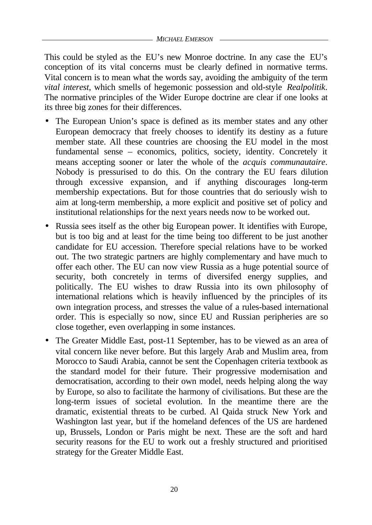This could be styled as the EU's new Monroe doctrine. In any case the EU's conception of its vital concerns must be clearly defined in normative terms. Vital concern is to mean what the words say, avoiding the ambiguity of the term *vital interest*, which smells of hegemonic possession and old-style *Realpolitik*. The normative principles of the Wider Europe doctrine are clear if one looks at its three big zones for their differences.

- The European Union's space is defined as its member states and any other European democracy that freely chooses to identify its destiny as a future member state. All these countries are choosing the EU model in the most fundamental sense – economics, politics, society, identity. Concretely it means accepting sooner or later the whole of the *acquis communautaire*. Nobody is pressurised to do this. On the contrary the EU fears dilution through excessive expansion, and if anything discourages long-term membership expectations. But for those countries that do seriously wish to aim at long-term membership, a more explicit and positive set of policy and institutional relationships for the next years needs now to be worked out.
- Russia sees itself as the other big European power. It identifies with Europe, but is too big and at least for the time being too different to be just another candidate for EU accession. Therefore special relations have to be worked out. The two strategic partners are highly complementary and have much to offer each other. The EU can now view Russia as a huge potential source of security, both concretely in terms of diversifed energy supplies, and politically. The EU wishes to draw Russia into its own philosophy of international relations which is heavily influenced by the principles of its own integration process, and stresses the value of a rules-based international order. This is especially so now, since EU and Russian peripheries are so close together, even overlapping in some instances.
- The Greater Middle East, post-11 September, has to be viewed as an area of vital concern like never before. But this largely Arab and Muslim area, from Morocco to Saudi Arabia, cannot be sent the Copenhagen criteria textbook as the standard model for their future. Their progressive modernisation and democratisation, according to their own model, needs helping along the way by Europe, so also to facilitate the harmony of civilisations. But these are the long-term issues of societal evolution. In the meantime there are the dramatic, existential threats to be curbed. Al Qaida struck New York and Washington last year, but if the homeland defences of the US are hardened up, Brussels, London or Paris might be next. These are the soft and hard security reasons for the EU to work out a freshly structured and prioritised strategy for the Greater Middle East.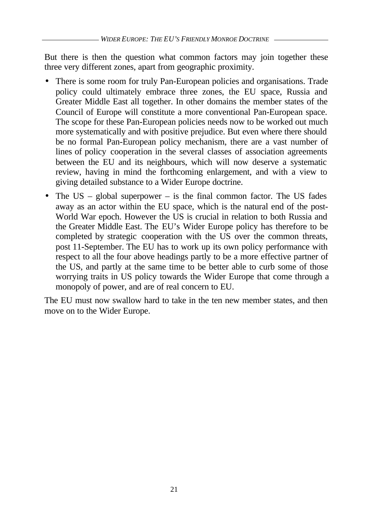But there is then the question what common factors may join together these three very different zones, apart from geographic proximity.

- There is some room for truly Pan-European policies and organisations. Trade policy could ultimately embrace three zones, the EU space, Russia and Greater Middle East all together. In other domains the member states of the Council of Europe will constitute a more conventional Pan-European space. The scope for these Pan-European policies needs now to be worked out much more systematically and with positive prejudice. But even where there should be no formal Pan-European policy mechanism, there are a vast number of lines of policy cooperation in the several classes of association agreements between the EU and its neighbours, which will now deserve a systematic review, having in mind the forthcoming enlargement, and with a view to giving detailed substance to a Wider Europe doctrine.
- The US global superpower is the final common factor. The US fades away as an actor within the EU space, which is the natural end of the post-World War epoch. However the US is crucial in relation to both Russia and the Greater Middle East. The EU's Wider Europe policy has therefore to be completed by strategic cooperation with the US over the common threats, post 11-September. The EU has to work up its own policy performance with respect to all the four above headings partly to be a more effective partner of the US, and partly at the same time to be better able to curb some of those worrying traits in US policy towards the Wider Europe that come through a monopoly of power, and are of real concern to EU.

The EU must now swallow hard to take in the ten new member states, and then move on to the Wider Europe.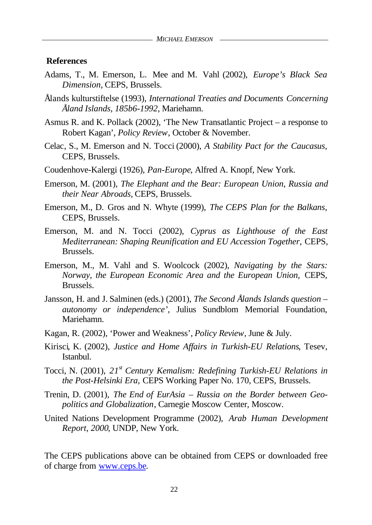### **References**

- Adams, T., M. Emerson, L. Mee and M. Vahl (2002), *Europe's Black Sea Dimension,* CEPS, Brussels.
- Ålands kulturstiftelse (1993), *International Treaties and Documents Concerning Åland Islands, 185b6-1992*, Mariehamn.
- Asmus R. and K. Pollack (2002), 'The New Transatlantic Project a response to Robert Kagan', *Policy Review*, October & November.
- Celac, S., M. Emerson and N. Tocci (2000), *A Stability Pact for the Caucasus,* CEPS, Brussels.
- Coudenhove-Kalergi (1926), *Pan-Europe*, Alfred A. Knopf, New York.
- Emerson, M. (2001), *The Elephant and the Bear: European Union, Russia and their Near Abroads,* CEPS, Brussels.
- Emerson, M., D. Gros and N. Whyte (1999), *The CEPS Plan for the Balkans,* CEPS, Brussels.
- Emerson, M. and N. Tocci (2002), *Cyprus as Lighthouse of the East Mediterranean: Shaping Reunification and EU Accession Together,* CEPS, Brussels.
- Emerson, M., M. Vahl and S. Woolcock (2002), *Navigating by the Stars: Norway, the European Economic Area and the European Union,* CEPS, Brussels.
- Jansson, H. and J. Salminen (eds.) (2001), *The Second Ålands Islands question – autonomy or independence',* Julius Sundblom Memorial Foundation, Mariehamn.
- Kagan, R. (2002), 'Power and Weakness', *Policy Review*, June & July.
- Kirisci, K. (2002), *Justice and Home Affairs in Turkish-EU Relations*, Tesev, Istanbul.
- Tocci, N. (2001), *21st Century Kemalism: Redefining Turkish-EU Relations in the Post-Helsinki Era,* CEPS Working Paper No. 170, CEPS, Brussels.
- Trenin, D. (2001), *The End of EurAsia Russia on the Border between Geopolitics and Globalization*, Carnegie Moscow Center, Moscow.
- United Nations Development Programme (2002), *Arab Human Development Report, 2000*, UNDP, New York.

The CEPS publications above can be obtained from CEPS or downloaded free of charge from www.ceps.be.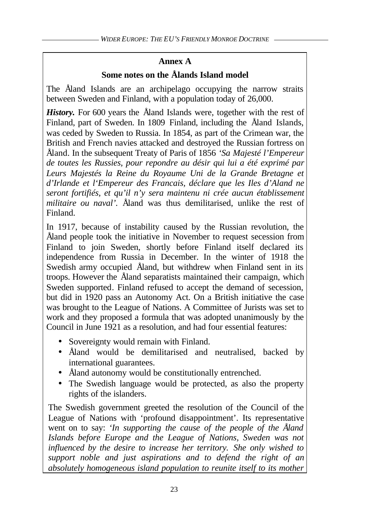# **Annex A**

# **Some notes on the Ålands Island model**

The Åland Islands are an archipelago occupying the narrow straits between Sweden and Finland, with a population today of 26,000.

*History*. For 600 years the Aland Islands were, together with the rest of Finland, part of Sweden. In 1809 Finland, including the Åland Islands, was ceded by Sweden to Russia. In 1854, as part of the Crimean war, the British and French navies attacked and destroyed the Russian fortress on Åland. In the subsequent Treaty of Paris of 1856 *'Sa Majesté l'Empereur de toutes les Russies, pour repondre au désir qui lui a été exprimé par Leurs Majestés la Reine du Royaume Uni de la Grande Bretagne et d'Irlande et l'Empereur des Francais, déclare que les Iles d'Aland ne seront fortifiés, et qu'il n'y sera maintenu ni crée aucun établissement militaire ou naval'.* Åland was thus demilitarised, unlike the rest of Finland.

In 1917, because of instability caused by the Russian revolution, the Åland people took the initiative in November to request secession from Finland to join Sweden, shortly before Finland itself declared its independence from Russia in December. In the winter of 1918 the Swedish army occupied Åland, but withdrew when Finland sent in its troops. However the Åland separatists maintained their campaign, which Sweden supported. Finland refused to accept the demand of secession, but did in 1920 pass an Autonomy Act. On a British initiative the case was brought to the League of Nations. A Committee of Jurists was set to work and they proposed a formula that was adopted unanimously by the Council in June 1921 as a resolution, and had four essential features:

- Sovereignty would remain with Finland.
- Åland would be demilitarised and neutralised, backed by international guarantees.
- Åland autonomy would be constitutionally entrenched.
- The Swedish language would be protected, as also the property rights of the islanders.

The Swedish government greeted the resolution of the Council of the League of Nations with 'profound disappointment'. Its representative went on to say: *'In supporting the cause of the people of the Åland Islands before Europe and the League of Nations, Sweden was not influenced by the desire to increase her territory. She only wished to support noble and just aspirations and to defend the right of an absolutely homogeneous island population to reunite itself to its mother*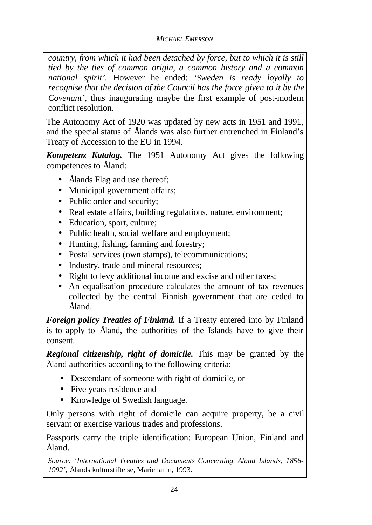*country, from which it had been detached by force, but to which it is still tied by the ties of common origin, a common history and a common national spirit'.* However he ended: *'Sweden is ready loyally to recognise that the decision of the Council has the force given to it by the Covenant'*, thus inaugurating maybe the first example of post-modern conflict resolution.

The Autonomy Act of 1920 was updated by new acts in 1951 and 1991, and the special status of Ålands was also further entrenched in Finland's Treaty of Accession to the EU in 1994.

*Kompetenz Katalog.* The 1951 Autonomy Act gives the following competences to Åland:

- Ålands Flag and use thereof;
- Municipal government affairs;
- Public order and security:
- Real estate affairs, building regulations, nature, environment;
- Education, sport, culture;
- Public health, social welfare and employment;
- Hunting, fishing, farming and forestry;
- Postal services (own stamps), telecommunications;
- Industry, trade and mineral resources;
- Right to levy additional income and excise and other taxes;
- An equalisation procedure calculates the amount of tax revenues collected by the central Finnish government that are ceded to Åland.

*Foreign policy Treaties of Finland.* If a Treaty entered into by Finland is to apply to Åland, the authorities of the Islands have to give their consent.

*Regional citizenship, right of domicile.* This may be granted by the Åland authorities according to the following criteria:

- Descendant of someone with right of domicile, or
- Five years residence and
- Knowledge of Swedish language.

Only persons with right of domicile can acquire property, be a civil servant or exercise various trades and professions.

Passports carry the triple identification: European Union, Finland and Åland.

*Source: 'International Treaties and Documents Concerning Åland Islands, 1856- 1992'*, Ålands kulturstiftelse, Mariehamn, 1993.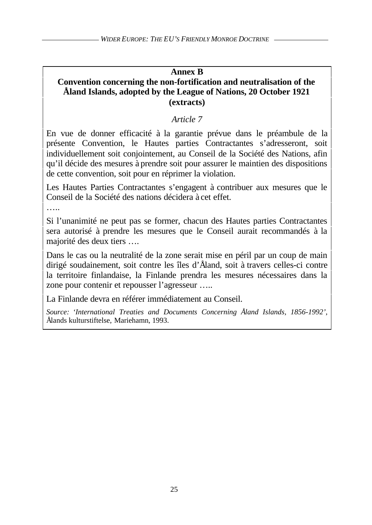# **Annex B**

# **Convention concerning the non-fortification and neutralisation of the Åland Islands, adopted by the League of Nations, 20 October 1921 (extracts)**

# *Article 7*

En vue de donner efficacité à la garantie prévue dans le préambule de la présente Convention, le Hautes parties Contractantes s'adresseront, soit individuellement soit conjointement, au Conseil de la Société des Nations, afin qu'il décide des mesures à prendre soit pour assurer le maintien des dispositions de cette convention, soit pour en réprimer la violation.

Les Hautes Parties Contractantes s'engagent à contribuer aux mesures que le Conseil de la Société des nations décidera à cet effet.

….

Si l'unanimité ne peut pas se former, chacun des Hautes parties Contractantes sera autorisé à prendre les mesures que le Conseil aurait recommandés à la majorité des deux tiers ….

Dans le cas ou la neutralité de la zone serait mise en péril par un coup de main dirigé soudainement, soit contre les îles d'Åland, soit à travers celles-ci contre la territoire finlandaise, la Finlande prendra les mesures nécessaires dans la zone pour contenir et repousser l'agresseur …..

La Finlande devra en référer immédiatement au Conseil.

*Source: 'International Treaties and Documents Concerning Åland Islands, 1856-1992'*, Ålands kulturstiftelse, Mariehamn, 1993.